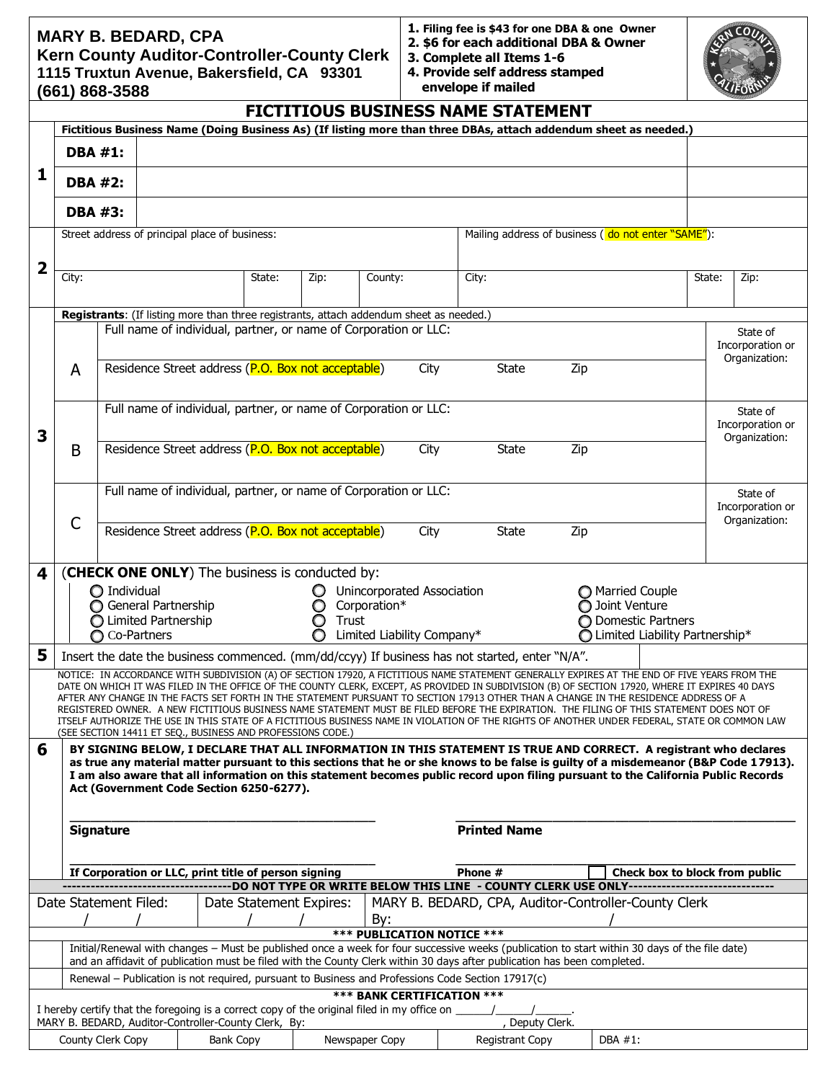# **MARY B. BEDARD, CPA**

**Kern County Auditor-Controller-County Clerk 1115 Truxtun Avenue, Bakersfield, CA 93301 (661) 868-3588**

| 1. Filing fee is \$43 for one DBA & one Owner |  |
|-----------------------------------------------|--|
| 2. \$6 for each additional DBA & Owner        |  |

- **3. Complete all Items 1-6**
- **4. Provide self address stamped envelope if mailed**



| <b>FICTITIOUS BUSINESS NAME STATEMENT</b>                                                                                                                                                                                                                                 |                                                                                                   |                                                                  |                                                                                         |        |                 |                |                            |                                                                                                |     |                                                                                                                                                                                                                                                                                         |        |                                   |
|---------------------------------------------------------------------------------------------------------------------------------------------------------------------------------------------------------------------------------------------------------------------------|---------------------------------------------------------------------------------------------------|------------------------------------------------------------------|-----------------------------------------------------------------------------------------|--------|-----------------|----------------|----------------------------|------------------------------------------------------------------------------------------------|-----|-----------------------------------------------------------------------------------------------------------------------------------------------------------------------------------------------------------------------------------------------------------------------------------------|--------|-----------------------------------|
|                                                                                                                                                                                                                                                                           |                                                                                                   |                                                                  |                                                                                         |        |                 |                |                            |                                                                                                |     | Fictitious Business Name (Doing Business As) (If listing more than three DBAs, attach addendum sheet as needed.)                                                                                                                                                                        |        |                                   |
|                                                                                                                                                                                                                                                                           | <b>DBA #1:</b>                                                                                    |                                                                  |                                                                                         |        |                 |                |                            |                                                                                                |     |                                                                                                                                                                                                                                                                                         |        |                                   |
| 1                                                                                                                                                                                                                                                                         | <b>DBA #2:</b>                                                                                    |                                                                  |                                                                                         |        |                 |                |                            |                                                                                                |     |                                                                                                                                                                                                                                                                                         |        |                                   |
|                                                                                                                                                                                                                                                                           | <b>DBA #3:</b>                                                                                    |                                                                  |                                                                                         |        |                 |                |                            |                                                                                                |     |                                                                                                                                                                                                                                                                                         |        |                                   |
|                                                                                                                                                                                                                                                                           |                                                                                                   |                                                                  | Street address of principal place of business:                                          |        |                 |                |                            |                                                                                                |     | Mailing address of business ( do not enter "SAME"):                                                                                                                                                                                                                                     |        |                                   |
|                                                                                                                                                                                                                                                                           |                                                                                                   |                                                                  |                                                                                         |        |                 |                |                            |                                                                                                |     |                                                                                                                                                                                                                                                                                         |        |                                   |
| 2                                                                                                                                                                                                                                                                         | City:                                                                                             |                                                                  |                                                                                         | State: | Zip:            | County:        |                            | City:                                                                                          |     |                                                                                                                                                                                                                                                                                         | State: | Zip:                              |
|                                                                                                                                                                                                                                                                           |                                                                                                   |                                                                  |                                                                                         |        |                 |                |                            |                                                                                                |     |                                                                                                                                                                                                                                                                                         |        |                                   |
|                                                                                                                                                                                                                                                                           |                                                                                                   |                                                                  | Registrants: (If listing more than three registrants, attach addendum sheet as needed.) |        |                 |                |                            |                                                                                                |     |                                                                                                                                                                                                                                                                                         |        |                                   |
|                                                                                                                                                                                                                                                                           |                                                                                                   | Full name of individual, partner, or name of Corporation or LLC: |                                                                                         |        |                 |                |                            |                                                                                                |     |                                                                                                                                                                                                                                                                                         |        | State of                          |
|                                                                                                                                                                                                                                                                           |                                                                                                   |                                                                  |                                                                                         |        |                 |                |                            |                                                                                                |     |                                                                                                                                                                                                                                                                                         |        | Incorporation or<br>Organization: |
|                                                                                                                                                                                                                                                                           | A                                                                                                 |                                                                  | Residence Street address (P.O. Box not acceptable)                                      |        |                 |                | City                       | <b>State</b>                                                                                   | Zip |                                                                                                                                                                                                                                                                                         |        |                                   |
|                                                                                                                                                                                                                                                                           |                                                                                                   |                                                                  |                                                                                         |        |                 |                |                            |                                                                                                |     |                                                                                                                                                                                                                                                                                         |        |                                   |
|                                                                                                                                                                                                                                                                           |                                                                                                   |                                                                  | Full name of individual, partner, or name of Corporation or LLC:                        |        |                 |                |                            |                                                                                                |     |                                                                                                                                                                                                                                                                                         |        | State of                          |
|                                                                                                                                                                                                                                                                           |                                                                                                   |                                                                  |                                                                                         |        |                 |                |                            |                                                                                                |     |                                                                                                                                                                                                                                                                                         |        | Incorporation or                  |
| 3                                                                                                                                                                                                                                                                         | B                                                                                                 |                                                                  | Residence Street address (P.O. Box not acceptable)                                      |        |                 |                | City                       | <b>State</b>                                                                                   | Zip |                                                                                                                                                                                                                                                                                         |        | Organization:                     |
|                                                                                                                                                                                                                                                                           |                                                                                                   |                                                                  |                                                                                         |        |                 |                |                            |                                                                                                |     |                                                                                                                                                                                                                                                                                         |        |                                   |
|                                                                                                                                                                                                                                                                           |                                                                                                   |                                                                  |                                                                                         |        |                 |                |                            |                                                                                                |     |                                                                                                                                                                                                                                                                                         |        |                                   |
|                                                                                                                                                                                                                                                                           |                                                                                                   |                                                                  | Full name of individual, partner, or name of Corporation or LLC:                        |        |                 |                |                            |                                                                                                |     |                                                                                                                                                                                                                                                                                         |        | State of<br>Incorporation or      |
|                                                                                                                                                                                                                                                                           | $\mathsf C$                                                                                       |                                                                  |                                                                                         |        |                 |                |                            |                                                                                                |     |                                                                                                                                                                                                                                                                                         |        | Organization:                     |
|                                                                                                                                                                                                                                                                           |                                                                                                   |                                                                  | Residence Street address (P.O. Box not acceptable)                                      |        |                 |                | City                       | <b>State</b>                                                                                   | Zip |                                                                                                                                                                                                                                                                                         |        |                                   |
|                                                                                                                                                                                                                                                                           |                                                                                                   |                                                                  |                                                                                         |        |                 |                |                            |                                                                                                |     |                                                                                                                                                                                                                                                                                         |        |                                   |
| 4                                                                                                                                                                                                                                                                         |                                                                                                   |                                                                  | (CHECK ONE ONLY) The business is conducted by:                                          |        |                 |                |                            |                                                                                                |     |                                                                                                                                                                                                                                                                                         |        |                                   |
|                                                                                                                                                                                                                                                                           |                                                                                                   | $\bigcirc$ Individual                                            |                                                                                         |        |                 |                | Unincorporated Association |                                                                                                |     | Married Couple                                                                                                                                                                                                                                                                          |        |                                   |
|                                                                                                                                                                                                                                                                           |                                                                                                   | General Partnership<br>◯ Limited Partnership                     |                                                                                         |        | O<br>Trust<br>O | Corporation*   |                            |                                                                                                |     | O Joint Venture<br>O Domestic Partners                                                                                                                                                                                                                                                  |        |                                   |
|                                                                                                                                                                                                                                                                           |                                                                                                   | ◯ Co-Partners                                                    |                                                                                         |        | O               |                | Limited Liability Company* |                                                                                                |     | $\bigcirc$ Limited Liability Partnership*                                                                                                                                                                                                                                               |        |                                   |
| 5                                                                                                                                                                                                                                                                         |                                                                                                   |                                                                  |                                                                                         |        |                 |                |                            | Insert the date the business commenced. (mm/dd/ccyy) If business has not started, enter "N/A". |     |                                                                                                                                                                                                                                                                                         |        |                                   |
|                                                                                                                                                                                                                                                                           |                                                                                                   |                                                                  |                                                                                         |        |                 |                |                            |                                                                                                |     | NOTICE: IN ACCORDANCE WITH SUBDIVISION (A) OF SECTION 17920, A FICTITIOUS NAME STATEMENT GENERALLY EXPIRES AT THE END OF FIVE YEARS FROM THE                                                                                                                                            |        |                                   |
|                                                                                                                                                                                                                                                                           |                                                                                                   |                                                                  |                                                                                         |        |                 |                |                            |                                                                                                |     | DATE ON WHICH IT WAS FILED IN THE OFFICE OF THE COUNTY CLERK, EXCEPT, AS PROVIDED IN SUBDIVISION (B) OF SECTION 17920, WHERE IT EXPIRES 40 DAYS<br>AFTER ANY CHANGE IN THE FACTS SET FORTH IN THE STATEMENT PURSUANT TO SECTION 17913 OTHER THAN A CHANGE IN THE RESIDENCE ADDRESS OF A |        |                                   |
|                                                                                                                                                                                                                                                                           |                                                                                                   |                                                                  |                                                                                         |        |                 |                |                            |                                                                                                |     | REGISTERED OWNER. A NEW FICTITIOUS BUSINESS NAME STATEMENT MUST BE FILED BEFORE THE EXPIRATION. THE FILING OF THIS STATEMENT DOES NOT OF                                                                                                                                                |        |                                   |
|                                                                                                                                                                                                                                                                           |                                                                                                   |                                                                  | (SEE SECTION 14411 ET SEQ., BUSINESS AND PROFESSIONS CODE.)                             |        |                 |                |                            |                                                                                                |     | ITSELF AUTHORIZE THE USE IN THIS STATE OF A FICTITIOUS BUSINESS NAME IN VIOLATION OF THE RIGHTS OF ANOTHER UNDER FEDERAL, STATE OR COMMON LAW                                                                                                                                           |        |                                   |
| 6                                                                                                                                                                                                                                                                         |                                                                                                   |                                                                  |                                                                                         |        |                 |                |                            |                                                                                                |     | BY SIGNING BELOW, I DECLARE THAT ALL INFORMATION IN THIS STATEMENT IS TRUE AND CORRECT. A registrant who declares                                                                                                                                                                       |        |                                   |
|                                                                                                                                                                                                                                                                           |                                                                                                   |                                                                  |                                                                                         |        |                 |                |                            |                                                                                                |     | as true any material matter pursuant to this sections that he or she knows to be false is guilty of a misdemeanor (B&P Code 17913).                                                                                                                                                     |        |                                   |
|                                                                                                                                                                                                                                                                           |                                                                                                   |                                                                  | Act (Government Code Section 6250-6277).                                                |        |                 |                |                            |                                                                                                |     | I am also aware that all information on this statement becomes public record upon filing pursuant to the California Public Records                                                                                                                                                      |        |                                   |
|                                                                                                                                                                                                                                                                           |                                                                                                   |                                                                  |                                                                                         |        |                 |                |                            |                                                                                                |     |                                                                                                                                                                                                                                                                                         |        |                                   |
|                                                                                                                                                                                                                                                                           | <b>Printed Name</b><br><b>Signature</b>                                                           |                                                                  |                                                                                         |        |                 |                |                            |                                                                                                |     |                                                                                                                                                                                                                                                                                         |        |                                   |
|                                                                                                                                                                                                                                                                           |                                                                                                   |                                                                  |                                                                                         |        |                 |                |                            |                                                                                                |     |                                                                                                                                                                                                                                                                                         |        |                                   |
|                                                                                                                                                                                                                                                                           |                                                                                                   |                                                                  |                                                                                         |        |                 |                |                            |                                                                                                |     |                                                                                                                                                                                                                                                                                         |        |                                   |
|                                                                                                                                                                                                                                                                           |                                                                                                   |                                                                  | If Corporation or LLC, print title of person signing                                    |        |                 |                |                            | Phone #<br>DO NOT TYPE OR WRITE BELOW THIS LINE - COUNTY CLERK USE ONLY----------              |     | Check box to block from public                                                                                                                                                                                                                                                          |        |                                   |
|                                                                                                                                                                                                                                                                           |                                                                                                   | Date Statement Filed:                                            |                                                                                         |        |                 |                |                            |                                                                                                |     |                                                                                                                                                                                                                                                                                         |        |                                   |
|                                                                                                                                                                                                                                                                           | MARY B. BEDARD, CPA, Auditor-Controller-County Clerk<br>Date Statement Expires:<br>By:            |                                                                  |                                                                                         |        |                 |                |                            |                                                                                                |     |                                                                                                                                                                                                                                                                                         |        |                                   |
| *** PUBLICATION NOTICE ***                                                                                                                                                                                                                                                |                                                                                                   |                                                                  |                                                                                         |        |                 |                |                            |                                                                                                |     |                                                                                                                                                                                                                                                                                         |        |                                   |
| Initial/Renewal with changes - Must be published once a week for four successive weeks (publication to start within 30 days of the file date)<br>and an affidavit of publication must be filed with the County Clerk within 30 days after publication has been completed. |                                                                                                   |                                                                  |                                                                                         |        |                 |                |                            |                                                                                                |     |                                                                                                                                                                                                                                                                                         |        |                                   |
|                                                                                                                                                                                                                                                                           | Renewal - Publication is not required, pursuant to Business and Professions Code Section 17917(c) |                                                                  |                                                                                         |        |                 |                |                            |                                                                                                |     |                                                                                                                                                                                                                                                                                         |        |                                   |
| *** BANK CERTIFICATION ***                                                                                                                                                                                                                                                |                                                                                                   |                                                                  |                                                                                         |        |                 |                |                            |                                                                                                |     |                                                                                                                                                                                                                                                                                         |        |                                   |
|                                                                                                                                                                                                                                                                           |                                                                                                   |                                                                  |                                                                                         |        |                 |                |                            |                                                                                                |     |                                                                                                                                                                                                                                                                                         |        |                                   |
|                                                                                                                                                                                                                                                                           |                                                                                                   |                                                                  | MARY B. BEDARD, Auditor-Controller-County Clerk, By:                                    |        |                 |                |                            | Deputy Clerk.                                                                                  |     |                                                                                                                                                                                                                                                                                         |        |                                   |
|                                                                                                                                                                                                                                                                           |                                                                                                   | County Clerk Copy                                                | Bank Copy                                                                               |        |                 | Newspaper Copy |                            | <b>Registrant Copy</b>                                                                         |     | DBA #1:                                                                                                                                                                                                                                                                                 |        |                                   |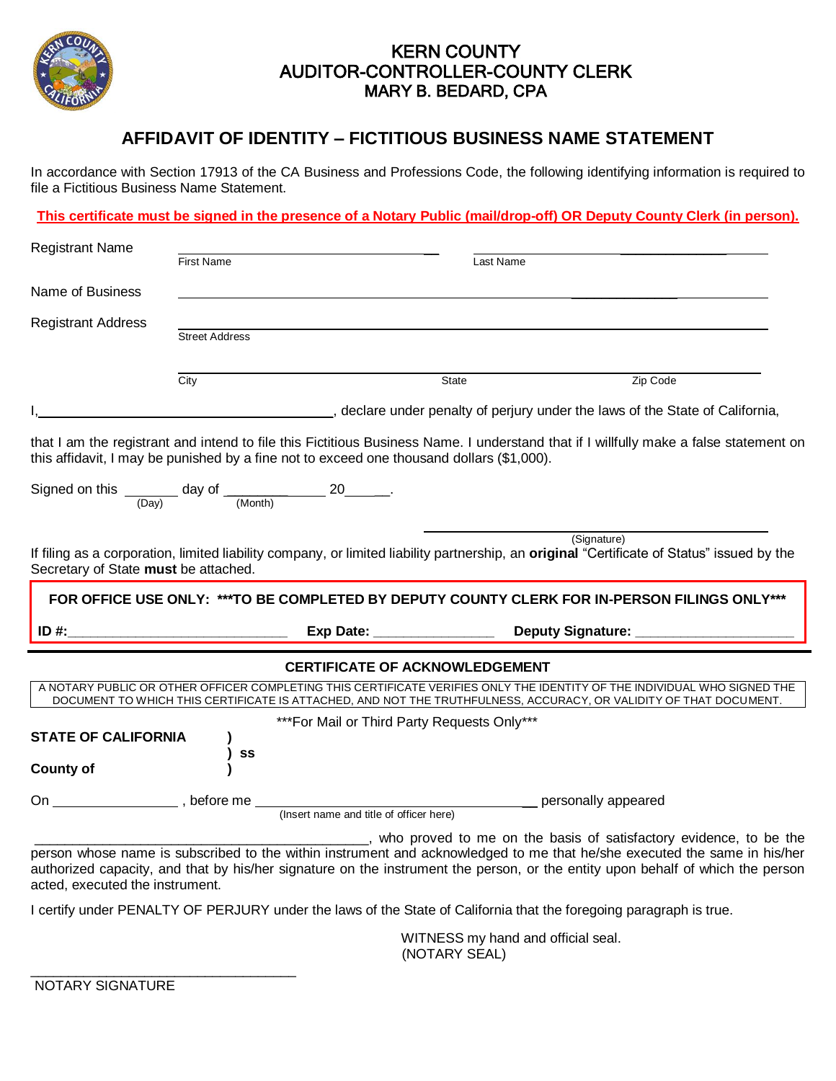

### KERN COUNTY AUDITOR-CONTROLLER-COUNTY CLERK MARY B. BEDARD, CPA

## **AFFIDAVIT OF IDENTITY – FICTITIOUS BUSINESS NAME STATEMENT**

In accordance with Section 17913 of the CA Business and Professions Code, the following identifying information is required to file a Fictitious Business Name Statement.

**This certificate must be signed in the presence of a Notary Public (mail/drop-off) OR Deputy County Clerk (in person).** 

| <b>Registrant Name</b>                                                 |                       |                                                                                                                                                                                                                                               |             |          |
|------------------------------------------------------------------------|-----------------------|-----------------------------------------------------------------------------------------------------------------------------------------------------------------------------------------------------------------------------------------------|-------------|----------|
|                                                                        | <b>First Name</b>     |                                                                                                                                                                                                                                               | Last Name   |          |
| Name of Business                                                       |                       |                                                                                                                                                                                                                                               |             |          |
| <b>Registrant Address</b>                                              |                       |                                                                                                                                                                                                                                               |             |          |
|                                                                        | <b>Street Address</b> |                                                                                                                                                                                                                                               |             |          |
|                                                                        | $\overline{City}$     | State                                                                                                                                                                                                                                         |             | Zip Code |
|                                                                        |                       | declare under penalty of perjury under the laws of the State of California,                                                                                                                                                                   |             |          |
| Signed on this $\frac{1}{(Day)}$ day of $\frac{1}{(Month)}$ 20 ______. |                       | that I am the registrant and intend to file this Fictitious Business Name. I understand that if I willfully make a false statement on<br>this affidavit, I may be punished by a fine not to exceed one thousand dollars (\$1,000).            |             |          |
| Secretary of State must be attached.                                   |                       | If filing as a corporation, limited liability company, or limited liability partnership, an original "Certificate of Status" issued by the                                                                                                    | (Signature) |          |
|                                                                        |                       | FOR OFFICE USE ONLY: ***TO BE COMPLETED BY DEPUTY COUNTY CLERK FOR IN-PERSON FILINGS ONLY***                                                                                                                                                  |             |          |
| ID #:                                                                  |                       |                                                                                                                                                                                                                                               |             |          |
|                                                                        |                       | <b>CERTIFICATE OF ACKNOWLEDGEMENT</b>                                                                                                                                                                                                         |             |          |
|                                                                        |                       | A NOTARY PUBLIC OR OTHER OFFICER COMPLETING THIS CERTIFICATE VERIFIES ONLY THE IDENTITY OF THE INDIVIDUAL WHO SIGNED THE<br>DOCUMENT TO WHICH THIS CERTIFICATE IS ATTACHED, AND NOT THE TRUTHFULNESS, ACCURACY, OR VALIDITY OF THAT DOCUMENT. |             |          |
|                                                                        |                       | *** For Mail or Third Party Requests Only***                                                                                                                                                                                                  |             |          |
| <b>STATE OF CALIFORNIA</b><br><b>County of</b>                         | SS                    |                                                                                                                                                                                                                                               |             |          |
| On                                                                     |                       |                                                                                                                                                                                                                                               |             |          |
|                                                                        |                       |                                                                                                                                                                                                                                               |             |          |

 WITNESS my hand and official seal. (NOTARY SEAL)

NOTARY SIGNATURE

\_\_\_\_\_\_\_\_\_\_\_\_\_\_\_\_\_\_\_\_\_\_\_\_\_\_\_\_\_\_\_\_\_\_\_